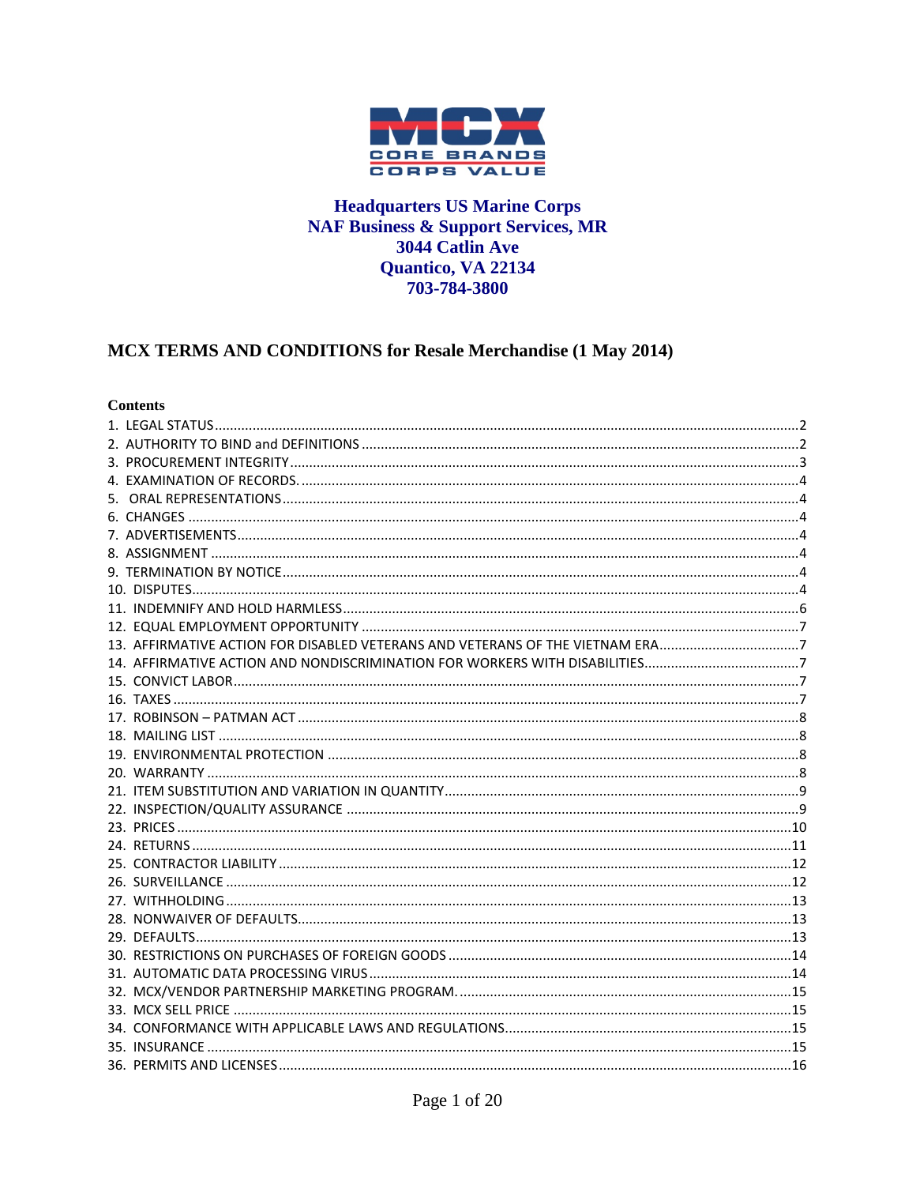

#### **Headquarters US Marine Corps NAF Business & Support Services, MR** 3044 Catlin Ave Quantico, VA 22134 703-784-3800

# MCX TERMS AND CONDITIONS for Resale Merchandise (1 May 2014)

#### **Contents**

| 13. AFFIRMATIVE ACTION FOR DISABLED VETERANS AND VETERANS OF THE VIETNAM ERA7 |  |
|-------------------------------------------------------------------------------|--|
|                                                                               |  |
|                                                                               |  |
|                                                                               |  |
|                                                                               |  |
|                                                                               |  |
|                                                                               |  |
|                                                                               |  |
|                                                                               |  |
|                                                                               |  |
|                                                                               |  |
|                                                                               |  |
|                                                                               |  |
|                                                                               |  |
|                                                                               |  |
|                                                                               |  |
|                                                                               |  |
|                                                                               |  |
|                                                                               |  |
|                                                                               |  |
|                                                                               |  |
|                                                                               |  |
|                                                                               |  |
|                                                                               |  |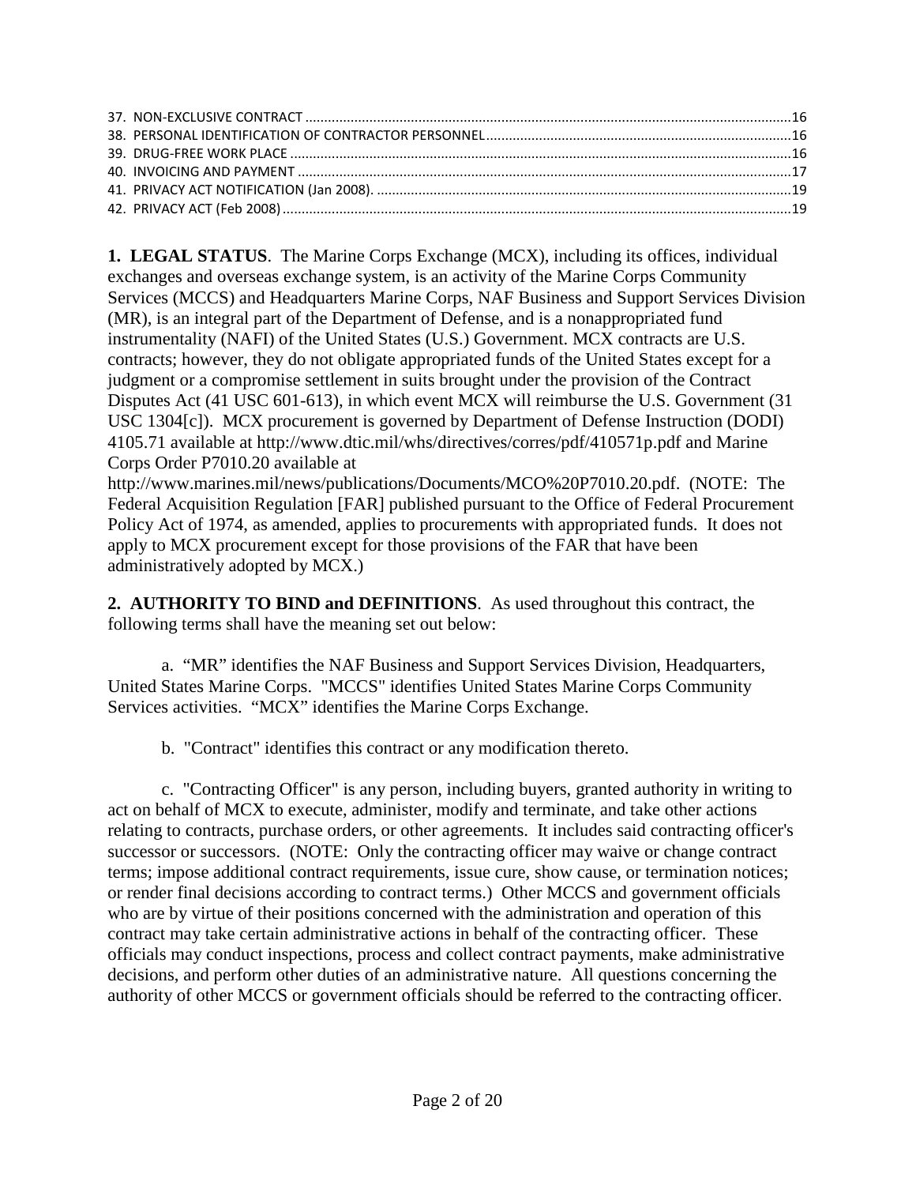<span id="page-1-0"></span>**1. LEGAL STATUS**. The Marine Corps Exchange (MCX), including its offices, individual exchanges and overseas exchange system, is an activity of the Marine Corps Community Services (MCCS) and Headquarters Marine Corps, NAF Business and Support Services Division (MR), is an integral part of the Department of Defense, and is a nonappropriated fund instrumentality (NAFI) of the United States (U.S.) Government. MCX contracts are U.S. contracts; however, they do not obligate appropriated funds of the United States except for a judgment or a compromise settlement in suits brought under the provision of the Contract Disputes Act (41 USC 601-613), in which event MCX will reimburse the U.S. Government (31 USC 1304[c]). MCX procurement is governed by Department of Defense Instruction (DODI) 4105.71 available at<http://www.dtic.mil/whs/directives/corres/pdf/410571p.pdf> and Marine Corps Order P7010.20 available at

[http://www.marines.mil/news/publications/Documents/MCO%20P7010.20.pdf.](http://www.marines.mil/news/publications/Documents/MCO%20P7010.20.pdf) (NOTE: The Federal Acquisition Regulation [FAR] published pursuant to the Office of Federal Procurement Policy Act of 1974, as amended, applies to procurements with appropriated funds. It does not apply to MCX procurement except for those provisions of the FAR that have been administratively adopted by MCX.)

<span id="page-1-1"></span>**2. AUTHORITY TO BIND and DEFINITIONS**. As used throughout this contract, the following terms shall have the meaning set out below:

a. "MR" identifies the NAF Business and Support Services Division, Headquarters, United States Marine Corps. "MCCS" identifies United States Marine Corps Community Services activities. "MCX" identifies the Marine Corps Exchange.

b. "Contract" identifies this contract or any modification thereto.

c. "Contracting Officer" is any person, including buyers, granted authority in writing to act on behalf of MCX to execute, administer, modify and terminate, and take other actions relating to contracts, purchase orders, or other agreements. It includes said contracting officer's successor or successors. (NOTE: Only the contracting officer may waive or change contract terms; impose additional contract requirements, issue cure, show cause, or termination notices; or render final decisions according to contract terms.) Other MCCS and government officials who are by virtue of their positions concerned with the administration and operation of this contract may take certain administrative actions in behalf of the contracting officer. These officials may conduct inspections, process and collect contract payments, make administrative decisions, and perform other duties of an administrative nature. All questions concerning the authority of other MCCS or government officials should be referred to the contracting officer.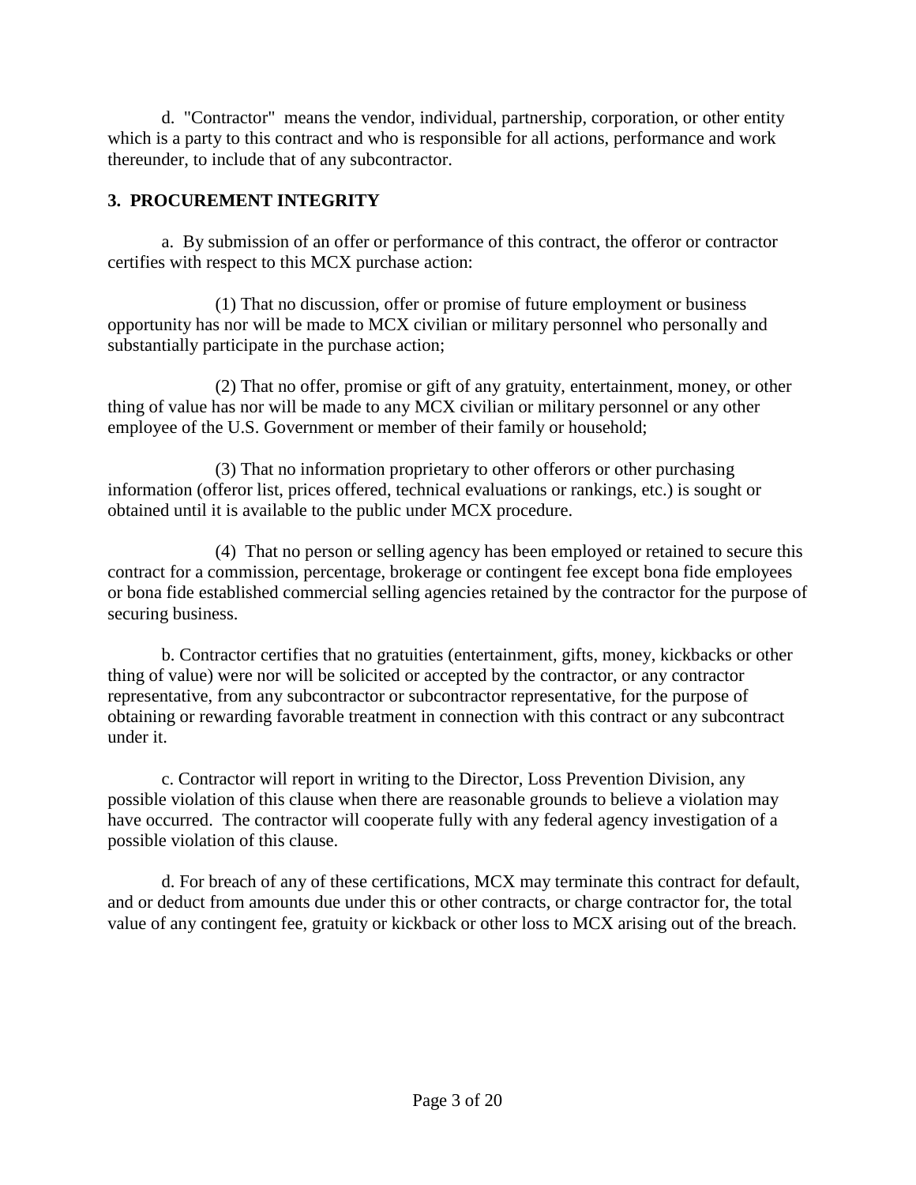d. "Contractor" means the vendor, individual, partnership, corporation, or other entity which is a party to this contract and who is responsible for all actions, performance and work thereunder, to include that of any subcontractor.

# <span id="page-2-0"></span>**3. PROCUREMENT INTEGRITY**

a. By submission of an offer or performance of this contract, the offeror or contractor certifies with respect to this MCX purchase action:

(1) That no discussion, offer or promise of future employment or business opportunity has nor will be made to MCX civilian or military personnel who personally and substantially participate in the purchase action;

(2) That no offer, promise or gift of any gratuity, entertainment, money, or other thing of value has nor will be made to any MCX civilian or military personnel or any other employee of the U.S. Government or member of their family or household;

(3) That no information proprietary to other offerors or other purchasing information (offeror list, prices offered, technical evaluations or rankings, etc.) is sought or obtained until it is available to the public under MCX procedure.

(4) That no person or selling agency has been employed or retained to secure this contract for a commission, percentage, brokerage or contingent fee except bona fide employees or bona fide established commercial selling agencies retained by the contractor for the purpose of securing business.

b. Contractor certifies that no gratuities (entertainment, gifts, money, kickbacks or other thing of value) were nor will be solicited or accepted by the contractor, or any contractor representative, from any subcontractor or subcontractor representative, for the purpose of obtaining or rewarding favorable treatment in connection with this contract or any subcontract under it.

c. Contractor will report in writing to the Director, Loss Prevention Division, any possible violation of this clause when there are reasonable grounds to believe a violation may have occurred. The contractor will cooperate fully with any federal agency investigation of a possible violation of this clause.

d. For breach of any of these certifications, MCX may terminate this contract for default, and or deduct from amounts due under this or other contracts, or charge contractor for, the total value of any contingent fee, gratuity or kickback or other loss to MCX arising out of the breach.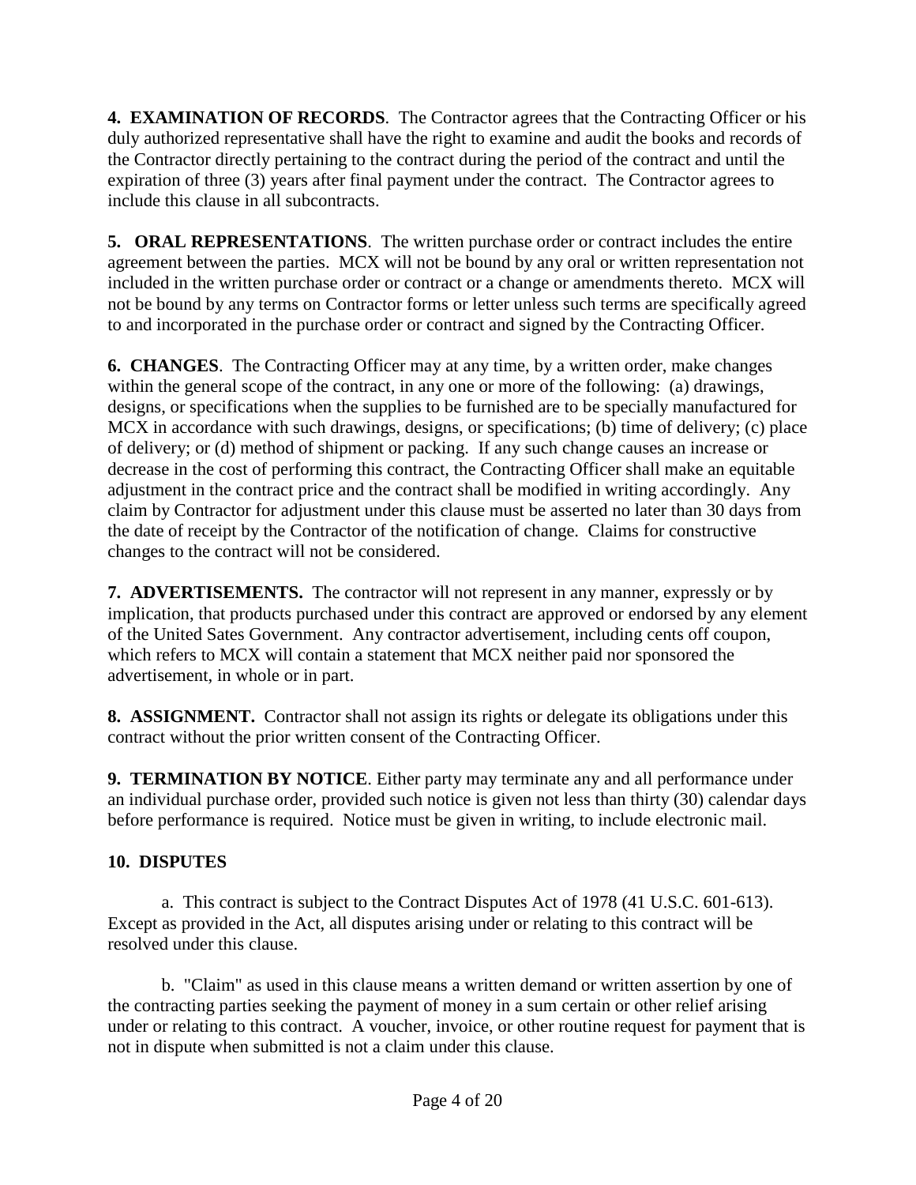<span id="page-3-0"></span>**4. EXAMINATION OF RECORDS**. The Contractor agrees that the Contracting Officer or his duly authorized representative shall have the right to examine and audit the books and records of the Contractor directly pertaining to the contract during the period of the contract and until the expiration of three (3) years after final payment under the contract. The Contractor agrees to include this clause in all subcontracts.

<span id="page-3-1"></span>**5. ORAL REPRESENTATIONS**. The written purchase order or contract includes the entire agreement between the parties. MCX will not be bound by any oral or written representation not included in the written purchase order or contract or a change or amendments thereto. MCX will not be bound by any terms on Contractor forms or letter unless such terms are specifically agreed to and incorporated in the purchase order or contract and signed by the Contracting Officer.

<span id="page-3-2"></span>**6. CHANGES**. The Contracting Officer may at any time, by a written order, make changes within the general scope of the contract, in any one or more of the following: (a) drawings, designs, or specifications when the supplies to be furnished are to be specially manufactured for MCX in accordance with such drawings, designs, or specifications; (b) time of delivery; (c) place of delivery; or (d) method of shipment or packing. If any such change causes an increase or decrease in the cost of performing this contract, the Contracting Officer shall make an equitable adjustment in the contract price and the contract shall be modified in writing accordingly. Any claim by Contractor for adjustment under this clause must be asserted no later than 30 days from the date of receipt by the Contractor of the notification of change. Claims for constructive changes to the contract will not be considered.

<span id="page-3-3"></span>**7. ADVERTISEMENTS.** The contractor will not represent in any manner, expressly or by implication, that products purchased under this contract are approved or endorsed by any element of the United Sates Government. Any contractor advertisement, including cents off coupon, which refers to MCX will contain a statement that MCX neither paid nor sponsored the advertisement, in whole or in part.

<span id="page-3-4"></span>**8. ASSIGNMENT.** Contractor shall not assign its rights or delegate its obligations under this contract without the prior written consent of the Contracting Officer.

<span id="page-3-5"></span>**9. TERMINATION BY NOTICE**. Either party may terminate any and all performance under an individual purchase order, provided such notice is given not less than thirty (30) calendar days before performance is required. Notice must be given in writing, to include electronic mail.

# <span id="page-3-6"></span>**10. DISPUTES**

a. This contract is subject to the Contract Disputes Act of 1978 (41 U.S.C. 601-613). Except as provided in the Act, all disputes arising under or relating to this contract will be resolved under this clause.

b. "Claim" as used in this clause means a written demand or written assertion by one of the contracting parties seeking the payment of money in a sum certain or other relief arising under or relating to this contract. A voucher, invoice, or other routine request for payment that is not in dispute when submitted is not a claim under this clause.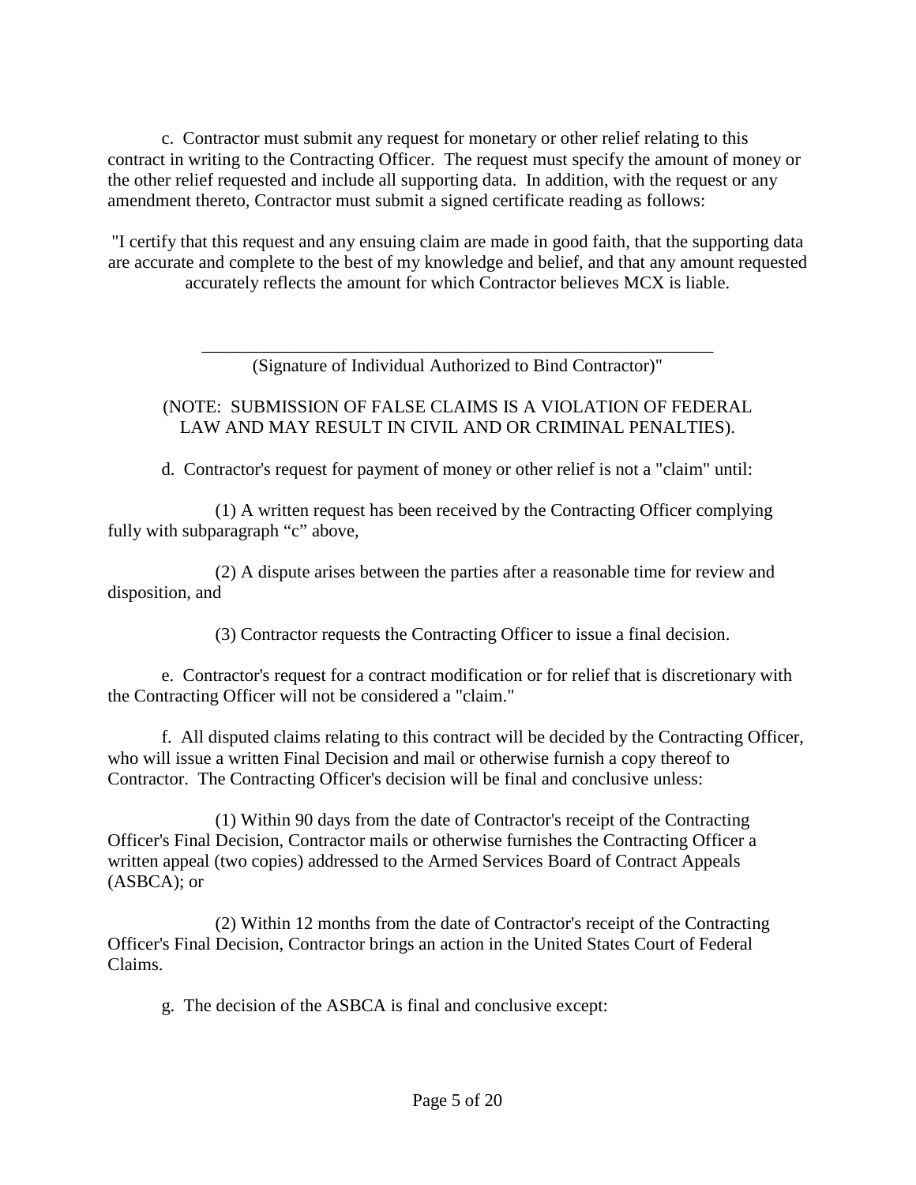c. Contractor must submit any request for monetary or other relief relating to this contract in writing to the Contracting Officer. The request must specify the amount of money or the other relief requested and include all supporting data. In addition, with the request or any amendment thereto, Contractor must submit a signed certificate reading as follows:

"I certify that this request and any ensuing claim are made in good faith, that the supporting data are accurate and complete to the best of my knowledge and belief, and that any amount requested accurately reflects the amount for which Contractor believes MCX is liable.

> \_\_\_\_\_\_\_\_\_\_\_\_\_\_\_\_\_\_\_\_\_\_\_\_\_\_\_\_\_\_\_\_\_\_\_\_\_\_\_\_\_\_\_\_\_\_\_\_\_\_\_\_\_\_\_\_\_ (Signature of Individual Authorized to Bind Contractor)"

#### (NOTE: SUBMISSION OF FALSE CLAIMS IS A VIOLATION OF FEDERAL LAW AND MAY RESULT IN CIVIL AND OR CRIMINAL PENALTIES).

d. Contractor's request for payment of money or other relief is not a "claim" until:

(1) A written request has been received by the Contracting Officer complying fully with subparagraph "c" above,

(2) A dispute arises between the parties after a reasonable time for review and disposition, and

(3) Contractor requests the Contracting Officer to issue a final decision.

e. Contractor's request for a contract modification or for relief that is discretionary with the Contracting Officer will not be considered a "claim."

f. All disputed claims relating to this contract will be decided by the Contracting Officer, who will issue a written Final Decision and mail or otherwise furnish a copy thereof to Contractor. The Contracting Officer's decision will be final and conclusive unless:

(1) Within 90 days from the date of Contractor's receipt of the Contracting Officer's Final Decision, Contractor mails or otherwise furnishes the Contracting Officer a written appeal (two copies) addressed to the Armed Services Board of Contract Appeals (ASBCA); or

(2) Within 12 months from the date of Contractor's receipt of the Contracting Officer's Final Decision, Contractor brings an action in the United States Court of Federal Claims.

g. The decision of the ASBCA is final and conclusive except: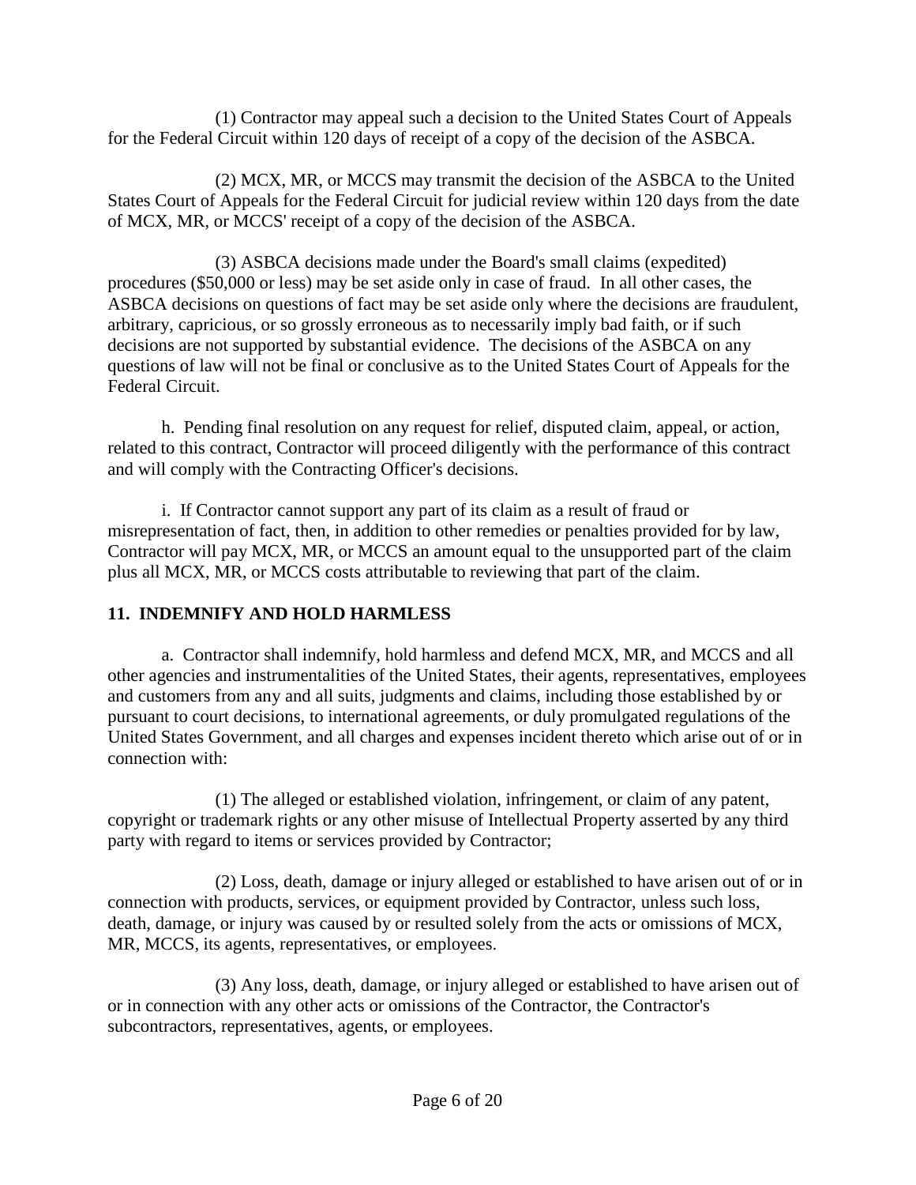(1) Contractor may appeal such a decision to the United States Court of Appeals for the Federal Circuit within 120 days of receipt of a copy of the decision of the ASBCA.

(2) MCX, MR, or MCCS may transmit the decision of the ASBCA to the United States Court of Appeals for the Federal Circuit for judicial review within 120 days from the date of MCX, MR, or MCCS' receipt of a copy of the decision of the ASBCA.

(3) ASBCA decisions made under the Board's small claims (expedited) procedures (\$50,000 or less) may be set aside only in case of fraud. In all other cases, the ASBCA decisions on questions of fact may be set aside only where the decisions are fraudulent, arbitrary, capricious, or so grossly erroneous as to necessarily imply bad faith, or if such decisions are not supported by substantial evidence. The decisions of the ASBCA on any questions of law will not be final or conclusive as to the United States Court of Appeals for the Federal Circuit.

h. Pending final resolution on any request for relief, disputed claim, appeal, or action, related to this contract, Contractor will proceed diligently with the performance of this contract and will comply with the Contracting Officer's decisions.

i. If Contractor cannot support any part of its claim as a result of fraud or misrepresentation of fact, then, in addition to other remedies or penalties provided for by law, Contractor will pay MCX, MR, or MCCS an amount equal to the unsupported part of the claim plus all MCX, MR, or MCCS costs attributable to reviewing that part of the claim.

# <span id="page-5-0"></span>**11. INDEMNIFY AND HOLD HARMLESS**

a. Contractor shall indemnify, hold harmless and defend MCX, MR, and MCCS and all other agencies and instrumentalities of the United States, their agents, representatives, employees and customers from any and all suits, judgments and claims, including those established by or pursuant to court decisions, to international agreements, or duly promulgated regulations of the United States Government, and all charges and expenses incident thereto which arise out of or in connection with:

(1) The alleged or established violation, infringement, or claim of any patent, copyright or trademark rights or any other misuse of Intellectual Property asserted by any third party with regard to items or services provided by Contractor;

(2) Loss, death, damage or injury alleged or established to have arisen out of or in connection with products, services, or equipment provided by Contractor, unless such loss, death, damage, or injury was caused by or resulted solely from the acts or omissions of MCX, MR, MCCS, its agents, representatives, or employees.

(3) Any loss, death, damage, or injury alleged or established to have arisen out of or in connection with any other acts or omissions of the Contractor, the Contractor's subcontractors, representatives, agents, or employees.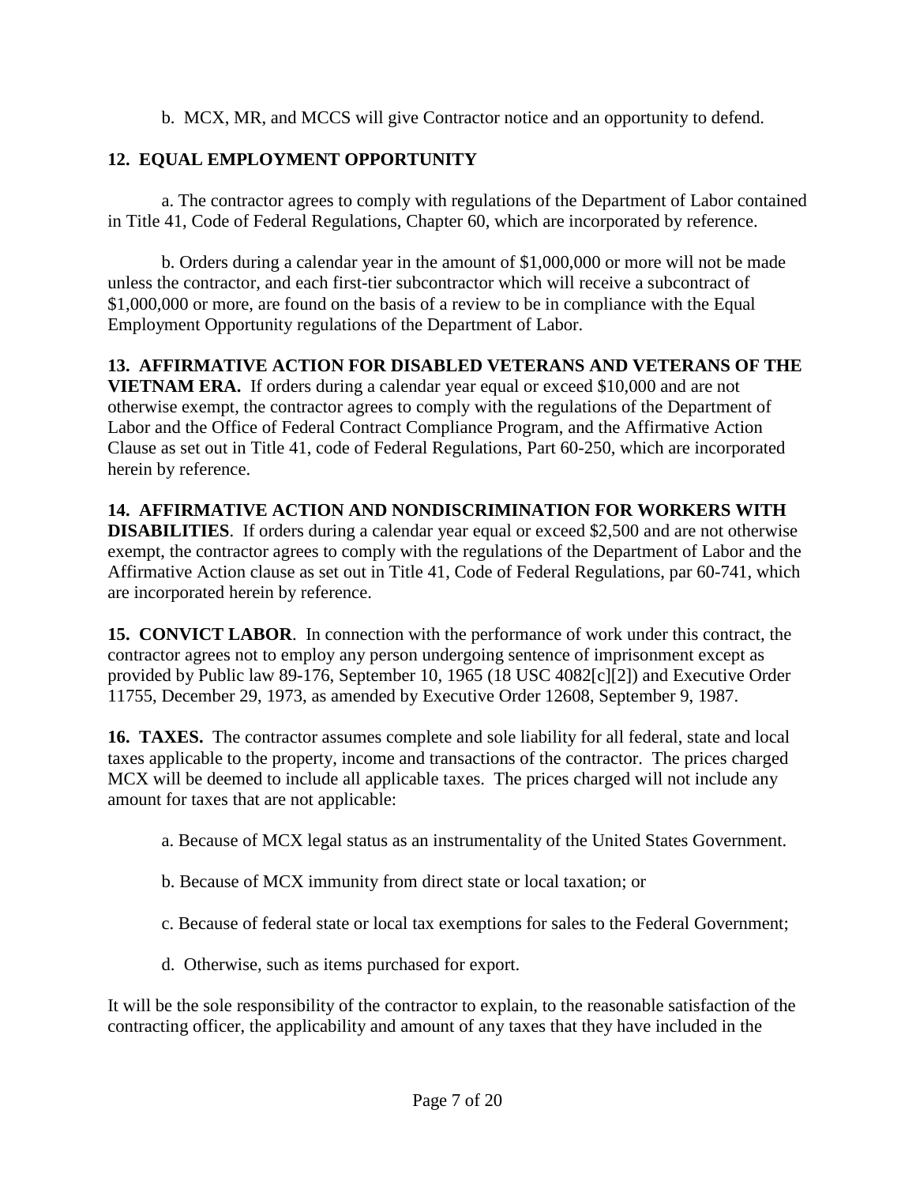b. MCX, MR, and MCCS will give Contractor notice and an opportunity to defend.

# <span id="page-6-0"></span>**12. EQUAL EMPLOYMENT OPPORTUNITY**

a. The contractor agrees to comply with regulations of the Department of Labor contained in Title 41, Code of Federal Regulations, Chapter 60, which are incorporated by reference.

b. Orders during a calendar year in the amount of \$1,000,000 or more will not be made unless the contractor, and each first-tier subcontractor which will receive a subcontract of \$1,000,000 or more, are found on the basis of a review to be in compliance with the Equal Employment Opportunity regulations of the Department of Labor.

<span id="page-6-1"></span>**13. AFFIRMATIVE ACTION FOR DISABLED VETERANS AND VETERANS OF THE VIETNAM ERA.** If orders during a calendar year equal or exceed \$10,000 and are not otherwise exempt, the contractor agrees to comply with the regulations of the Department of Labor and the Office of Federal Contract Compliance Program, and the Affirmative Action Clause as set out in Title 41, code of Federal Regulations, Part 60-250, which are incorporated herein by reference.

# <span id="page-6-2"></span>**14. AFFIRMATIVE ACTION AND NONDISCRIMINATION FOR WORKERS WITH**

**DISABILITIES**. If orders during a calendar year equal or exceed \$2,500 and are not otherwise exempt, the contractor agrees to comply with the regulations of the Department of Labor and the Affirmative Action clause as set out in Title 41, Code of Federal Regulations, par 60-741, which are incorporated herein by reference.

<span id="page-6-3"></span>**15. CONVICT LABOR**. In connection with the performance of work under this contract, the contractor agrees not to employ any person undergoing sentence of imprisonment except as provided by Public law 89-176, September 10, 1965 (18 USC 4082[c][2]) and Executive Order 11755, December 29, 1973, as amended by Executive Order 12608, September 9, 1987.

<span id="page-6-4"></span>**16. TAXES.** The contractor assumes complete and sole liability for all federal, state and local taxes applicable to the property, income and transactions of the contractor. The prices charged MCX will be deemed to include all applicable taxes. The prices charged will not include any amount for taxes that are not applicable:

- a. Because of MCX legal status as an instrumentality of the United States Government.
- b. Because of MCX immunity from direct state or local taxation; or
- c. Because of federal state or local tax exemptions for sales to the Federal Government;
- d. Otherwise, such as items purchased for export.

It will be the sole responsibility of the contractor to explain, to the reasonable satisfaction of the contracting officer, the applicability and amount of any taxes that they have included in the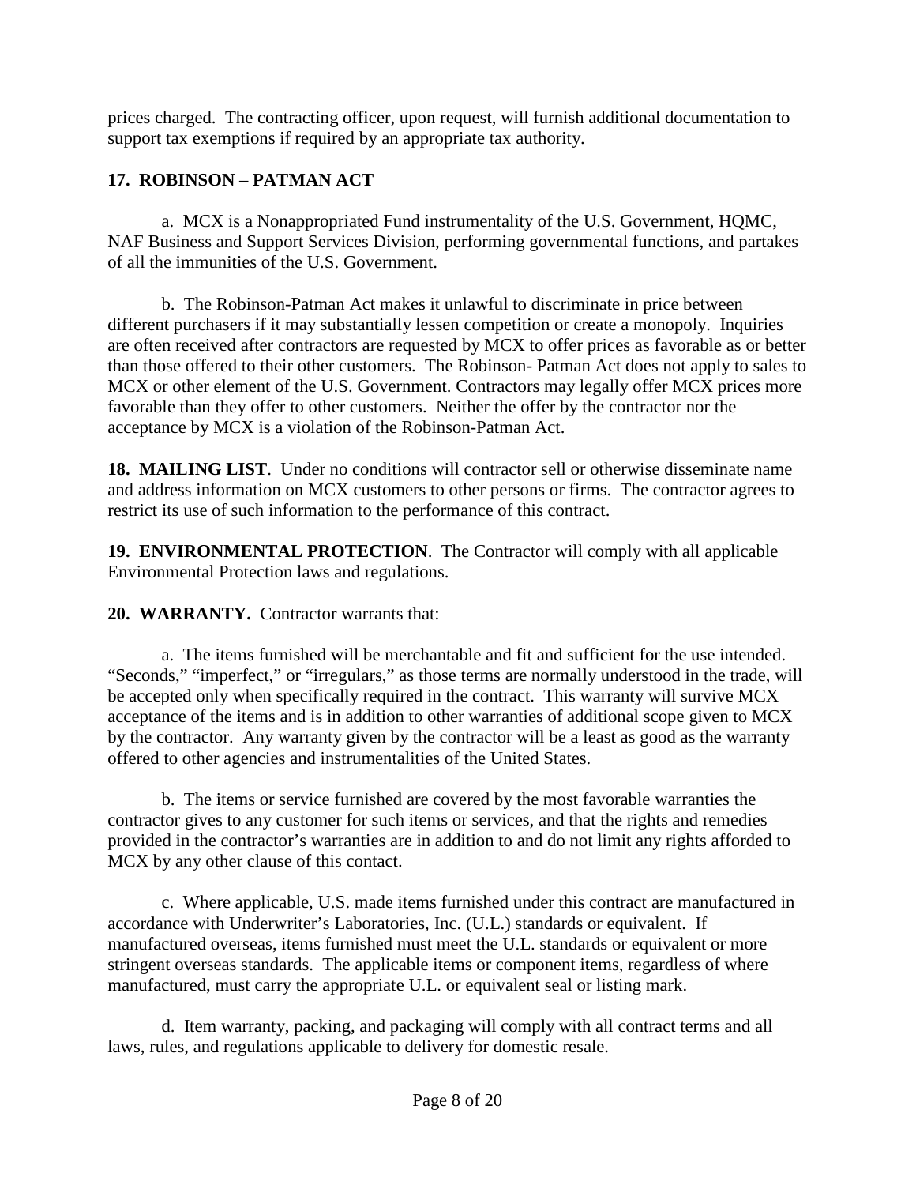prices charged. The contracting officer, upon request, will furnish additional documentation to support tax exemptions if required by an appropriate tax authority.

# <span id="page-7-0"></span>**17. ROBINSON – PATMAN ACT**

a. MCX is a Nonappropriated Fund instrumentality of the U.S. Government, HQMC, NAF Business and Support Services Division, performing governmental functions, and partakes of all the immunities of the U.S. Government.

b. The Robinson-Patman Act makes it unlawful to discriminate in price between different purchasers if it may substantially lessen competition or create a monopoly. Inquiries are often received after contractors are requested by MCX to offer prices as favorable as or better than those offered to their other customers. The Robinson- Patman Act does not apply to sales to MCX or other element of the U.S. Government. Contractors may legally offer MCX prices more favorable than they offer to other customers. Neither the offer by the contractor nor the acceptance by MCX is a violation of the Robinson-Patman Act.

<span id="page-7-1"></span>**18. MAILING LIST**. Under no conditions will contractor sell or otherwise disseminate name and address information on MCX customers to other persons or firms. The contractor agrees to restrict its use of such information to the performance of this contract.

<span id="page-7-2"></span>**19. ENVIRONMENTAL PROTECTION**. The Contractor will comply with all applicable Environmental Protection laws and regulations.

<span id="page-7-3"></span>**20. WARRANTY.** Contractor warrants that:

a. The items furnished will be merchantable and fit and sufficient for the use intended. "Seconds," "imperfect," or "irregulars," as those terms are normally understood in the trade, will be accepted only when specifically required in the contract. This warranty will survive MCX acceptance of the items and is in addition to other warranties of additional scope given to MCX by the contractor. Any warranty given by the contractor will be a least as good as the warranty offered to other agencies and instrumentalities of the United States.

b. The items or service furnished are covered by the most favorable warranties the contractor gives to any customer for such items or services, and that the rights and remedies provided in the contractor's warranties are in addition to and do not limit any rights afforded to MCX by any other clause of this contact.

c. Where applicable, U.S. made items furnished under this contract are manufactured in accordance with Underwriter's Laboratories, Inc. (U.L.) standards or equivalent. If manufactured overseas, items furnished must meet the U.L. standards or equivalent or more stringent overseas standards. The applicable items or component items, regardless of where manufactured, must carry the appropriate U.L. or equivalent seal or listing mark.

d. Item warranty, packing, and packaging will comply with all contract terms and all laws, rules, and regulations applicable to delivery for domestic resale.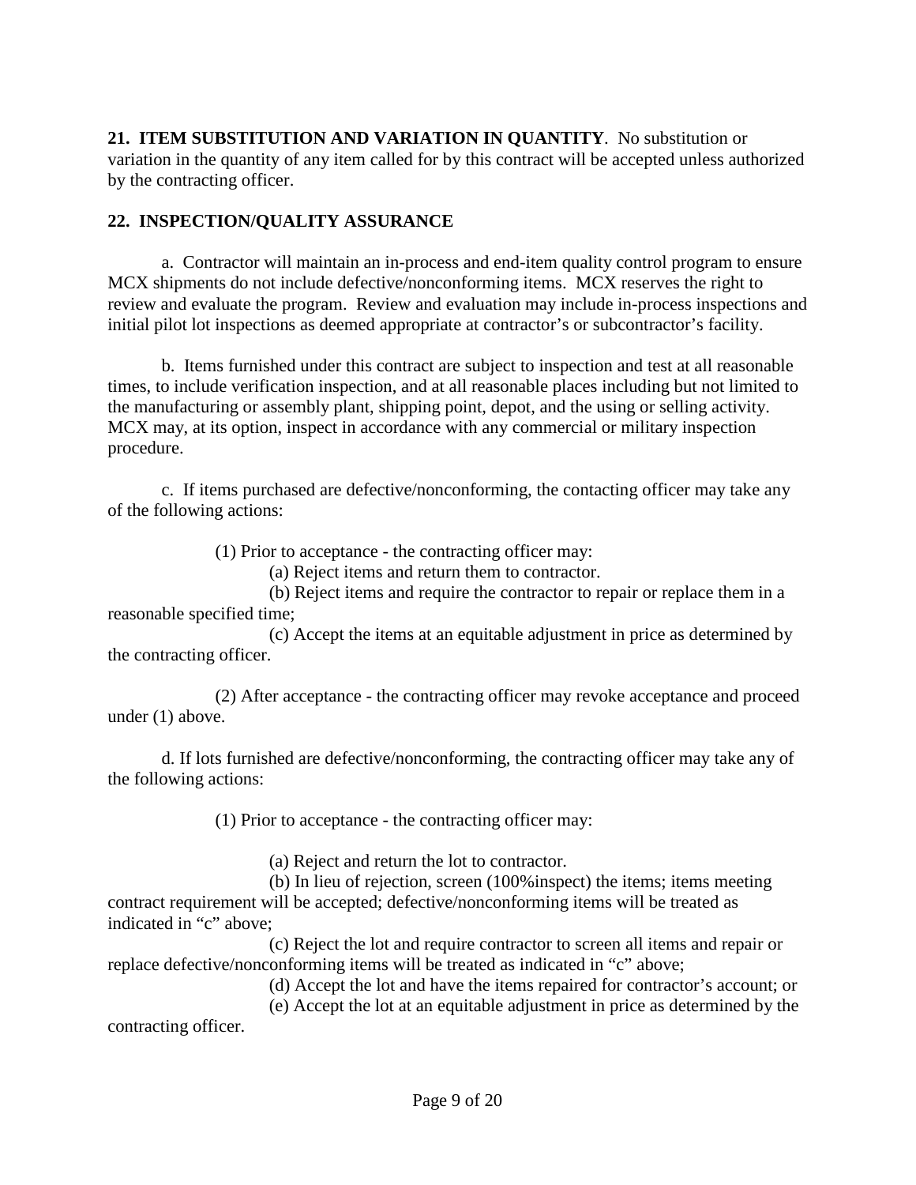<span id="page-8-0"></span>**21. ITEM SUBSTITUTION AND VARIATION IN QUANTITY**.No substitution or variation in the quantity of any item called for by this contract will be accepted unless authorized by the contracting officer.

#### <span id="page-8-1"></span>**22. INSPECTION/QUALITY ASSURANCE**

a. Contractor will maintain an in-process and end-item quality control program to ensure MCX shipments do not include defective/nonconforming items. MCX reserves the right to review and evaluate the program. Review and evaluation may include in-process inspections and initial pilot lot inspections as deemed appropriate at contractor's or subcontractor's facility.

b. Items furnished under this contract are subject to inspection and test at all reasonable times, to include verification inspection, and at all reasonable places including but not limited to the manufacturing or assembly plant, shipping point, depot, and the using or selling activity. MCX may, at its option, inspect in accordance with any commercial or military inspection procedure.

c. If items purchased are defective/nonconforming, the contacting officer may take any of the following actions:

(1) Prior to acceptance - the contracting officer may:

(a) Reject items and return them to contractor.

(b) Reject items and require the contractor to repair or replace them in a reasonable specified time;

(c) Accept the items at an equitable adjustment in price as determined by the contracting officer.

(2) After acceptance - the contracting officer may revoke acceptance and proceed under (1) above.

d. If lots furnished are defective/nonconforming, the contracting officer may take any of the following actions:

(1) Prior to acceptance - the contracting officer may:

(a) Reject and return the lot to contractor.

(b) In lieu of rejection, screen (100%inspect) the items; items meeting contract requirement will be accepted; defective/nonconforming items will be treated as indicated in "c" above;

(c) Reject the lot and require contractor to screen all items and repair or replace defective/nonconforming items will be treated as indicated in "c" above;

(d) Accept the lot and have the items repaired for contractor's account; or

(e) Accept the lot at an equitable adjustment in price as determined by the contracting officer.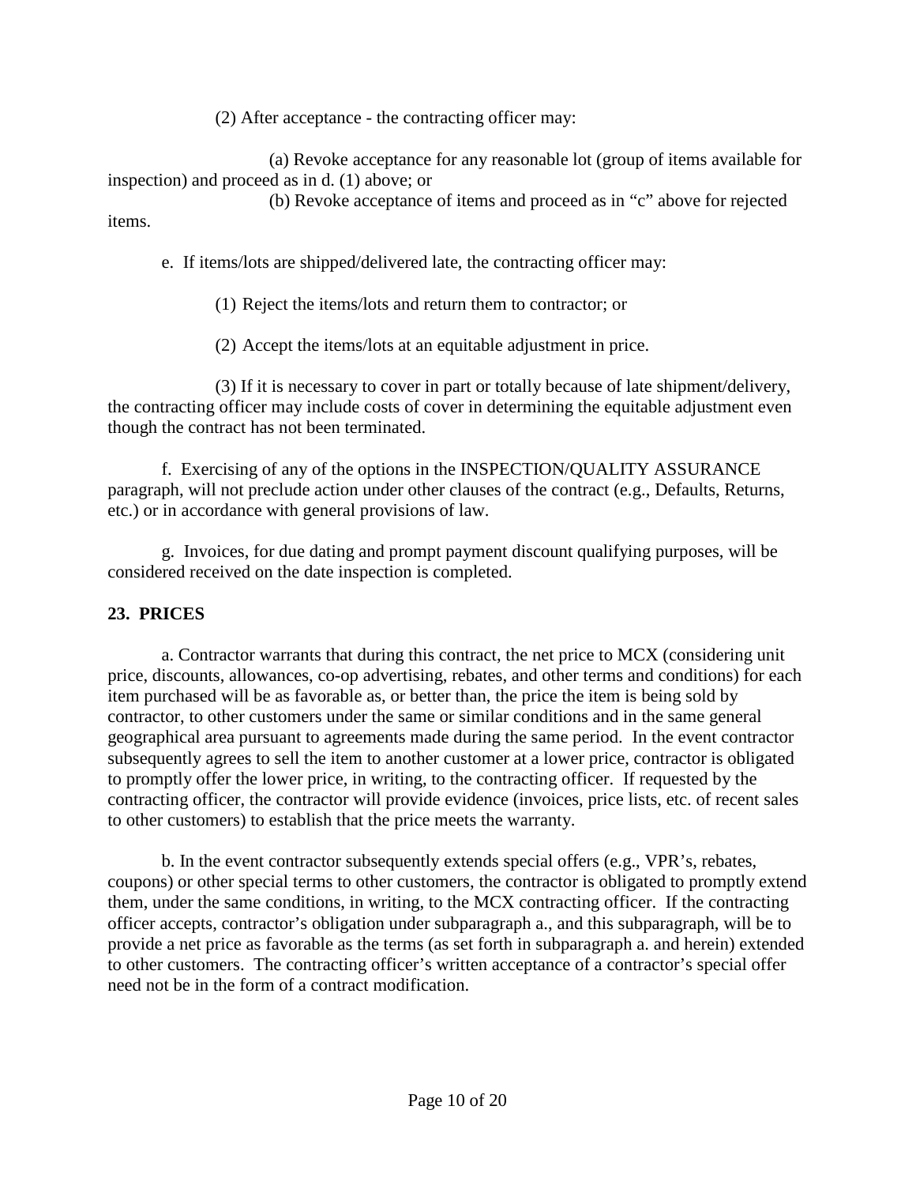(2) After acceptance - the contracting officer may:

(a) Revoke acceptance for any reasonable lot (group of items available for inspection) and proceed as in d. (1) above; or

(b) Revoke acceptance of items and proceed as in "c" above for rejected items.

e. If items/lots are shipped/delivered late, the contracting officer may:

(1) Reject the items/lots and return them to contractor; or

(2) Accept the items/lots at an equitable adjustment in price.

(3) If it is necessary to cover in part or totally because of late shipment/delivery, the contracting officer may include costs of cover in determining the equitable adjustment even though the contract has not been terminated.

f. Exercising of any of the options in the INSPECTION/QUALITY ASSURANCE paragraph, will not preclude action under other clauses of the contract (e.g., Defaults, Returns, etc.) or in accordance with general provisions of law.

g. Invoices, for due dating and prompt payment discount qualifying purposes, will be considered received on the date inspection is completed.

# <span id="page-9-0"></span>**23. PRICES**

a. Contractor warrants that during this contract, the net price to MCX (considering unit price, discounts, allowances, co-op advertising, rebates, and other terms and conditions) for each item purchased will be as favorable as, or better than, the price the item is being sold by contractor, to other customers under the same or similar conditions and in the same general geographical area pursuant to agreements made during the same period. In the event contractor subsequently agrees to sell the item to another customer at a lower price, contractor is obligated to promptly offer the lower price, in writing, to the contracting officer. If requested by the contracting officer, the contractor will provide evidence (invoices, price lists, etc. of recent sales to other customers) to establish that the price meets the warranty.

b. In the event contractor subsequently extends special offers (e.g., VPR's, rebates, coupons) or other special terms to other customers, the contractor is obligated to promptly extend them, under the same conditions, in writing, to the MCX contracting officer. If the contracting officer accepts, contractor's obligation under subparagraph a., and this subparagraph, will be to provide a net price as favorable as the terms (as set forth in subparagraph a. and herein) extended to other customers. The contracting officer's written acceptance of a contractor's special offer need not be in the form of a contract modification.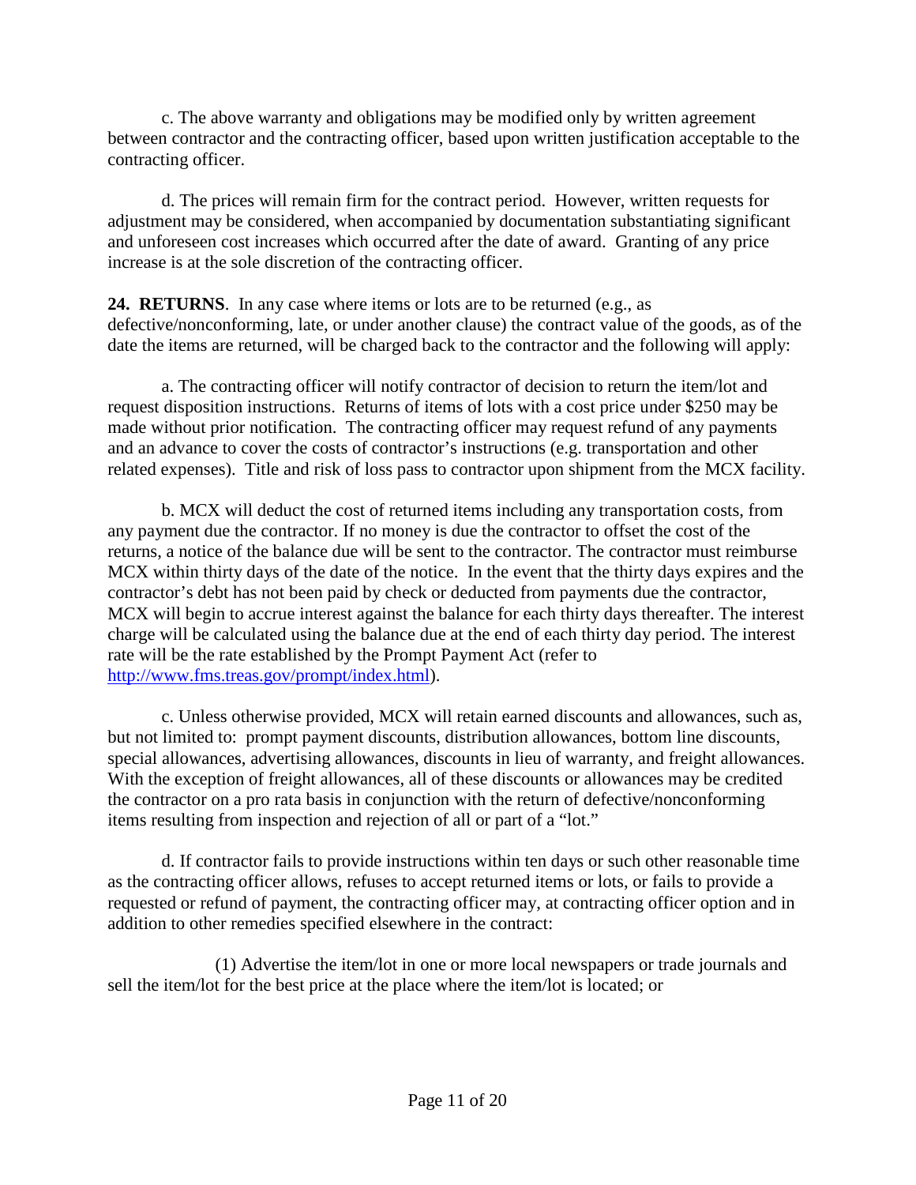c. The above warranty and obligations may be modified only by written agreement between contractor and the contracting officer, based upon written justification acceptable to the contracting officer.

d. The prices will remain firm for the contract period. However, written requests for adjustment may be considered, when accompanied by documentation substantiating significant and unforeseen cost increases which occurred after the date of award. Granting of any price increase is at the sole discretion of the contracting officer.

<span id="page-10-0"></span>**24. RETURNS**. In any case where items or lots are to be returned (e.g., as defective/nonconforming, late, or under another clause) the contract value of the goods, as of the date the items are returned, will be charged back to the contractor and the following will apply:

a. The contracting officer will notify contractor of decision to return the item/lot and request disposition instructions. Returns of items of lots with a cost price under \$250 may be made without prior notification. The contracting officer may request refund of any payments and an advance to cover the costs of contractor's instructions (e.g. transportation and other related expenses). Title and risk of loss pass to contractor upon shipment from the MCX facility.

b. MCX will deduct the cost of returned items including any transportation costs, from any payment due the contractor. If no money is due the contractor to offset the cost of the returns, a notice of the balance due will be sent to the contractor. The contractor must reimburse MCX within thirty days of the date of the notice. In the event that the thirty days expires and the contractor's debt has not been paid by check or deducted from payments due the contractor, MCX will begin to accrue interest against the balance for each thirty days thereafter. The interest charge will be calculated using the balance due at the end of each thirty day period. The interest rate will be the rate established by the Prompt Payment Act (refer to [http://www.fms.treas.gov/prompt/index.html\)](http://www.fms.treas.gov/prompt/index.html).

c. Unless otherwise provided, MCX will retain earned discounts and allowances, such as, but not limited to: prompt payment discounts, distribution allowances, bottom line discounts, special allowances, advertising allowances, discounts in lieu of warranty, and freight allowances. With the exception of freight allowances, all of these discounts or allowances may be credited the contractor on a pro rata basis in conjunction with the return of defective/nonconforming items resulting from inspection and rejection of all or part of a "lot."

d. If contractor fails to provide instructions within ten days or such other reasonable time as the contracting officer allows, refuses to accept returned items or lots, or fails to provide a requested or refund of payment, the contracting officer may, at contracting officer option and in addition to other remedies specified elsewhere in the contract:

(1) Advertise the item/lot in one or more local newspapers or trade journals and sell the item/lot for the best price at the place where the item/lot is located; or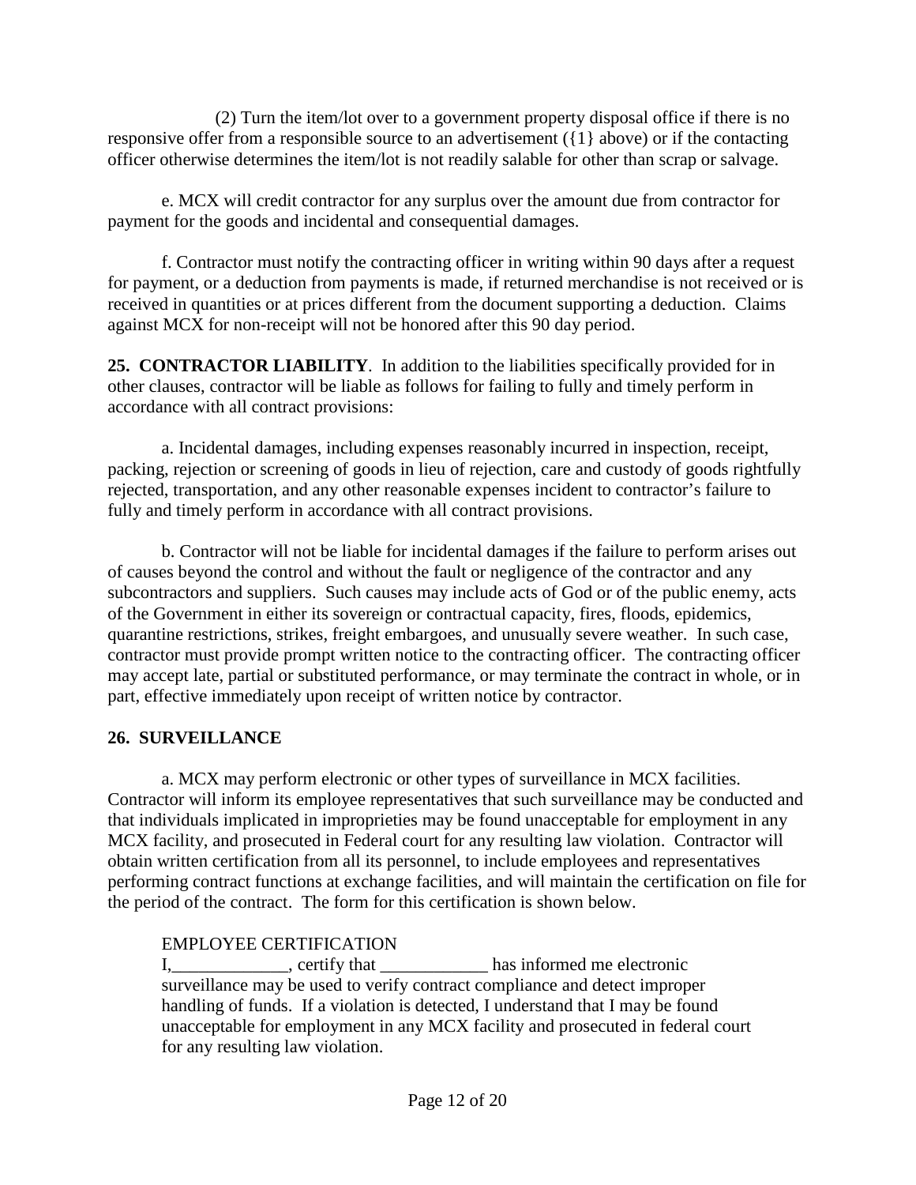(2) Turn the item/lot over to a government property disposal office if there is no responsive offer from a responsible source to an advertisement ({1} above) or if the contacting officer otherwise determines the item/lot is not readily salable for other than scrap or salvage.

e. MCX will credit contractor for any surplus over the amount due from contractor for payment for the goods and incidental and consequential damages.

f. Contractor must notify the contracting officer in writing within 90 days after a request for payment, or a deduction from payments is made, if returned merchandise is not received or is received in quantities or at prices different from the document supporting a deduction. Claims against MCX for non-receipt will not be honored after this 90 day period.

<span id="page-11-0"></span>**25. CONTRACTOR LIABILITY**. In addition to the liabilities specifically provided for in other clauses, contractor will be liable as follows for failing to fully and timely perform in accordance with all contract provisions:

a. Incidental damages, including expenses reasonably incurred in inspection, receipt, packing, rejection or screening of goods in lieu of rejection, care and custody of goods rightfully rejected, transportation, and any other reasonable expenses incident to contractor's failure to fully and timely perform in accordance with all contract provisions.

b. Contractor will not be liable for incidental damages if the failure to perform arises out of causes beyond the control and without the fault or negligence of the contractor and any subcontractors and suppliers. Such causes may include acts of God or of the public enemy, acts of the Government in either its sovereign or contractual capacity, fires, floods, epidemics, quarantine restrictions, strikes, freight embargoes, and unusually severe weather. In such case, contractor must provide prompt written notice to the contracting officer. The contracting officer may accept late, partial or substituted performance, or may terminate the contract in whole, or in part, effective immediately upon receipt of written notice by contractor.

### <span id="page-11-1"></span>**26. SURVEILLANCE**

a. MCX may perform electronic or other types of surveillance in MCX facilities. Contractor will inform its employee representatives that such surveillance may be conducted and that individuals implicated in improprieties may be found unacceptable for employment in any MCX facility, and prosecuted in Federal court for any resulting law violation. Contractor will obtain written certification from all its personnel, to include employees and representatives performing contract functions at exchange facilities, and will maintain the certification on file for the period of the contract. The form for this certification is shown below.

### EMPLOYEE CERTIFICATION

I, eertify that has informed me electronic surveillance may be used to verify contract compliance and detect improper handling of funds. If a violation is detected, I understand that I may be found unacceptable for employment in any MCX facility and prosecuted in federal court for any resulting law violation.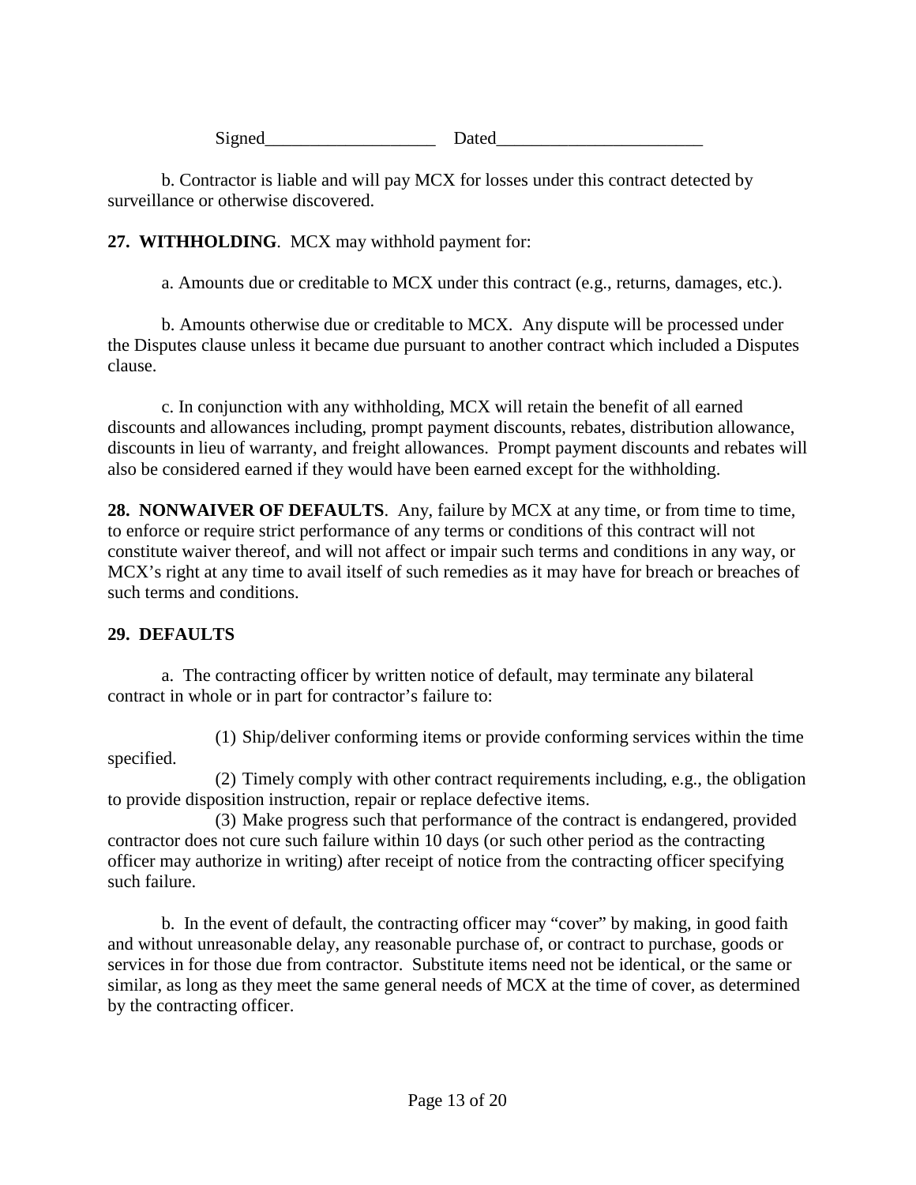Signed Dated

b. Contractor is liable and will pay MCX for losses under this contract detected by surveillance or otherwise discovered.

### <span id="page-12-0"></span>**27. WITHHOLDING**. MCX may withhold payment for:

a. Amounts due or creditable to MCX under this contract (e.g., returns, damages, etc.).

b. Amounts otherwise due or creditable to MCX. Any dispute will be processed under the Disputes clause unless it became due pursuant to another contract which included a Disputes clause.

c. In conjunction with any withholding, MCX will retain the benefit of all earned discounts and allowances including, prompt payment discounts, rebates, distribution allowance, discounts in lieu of warranty, and freight allowances. Prompt payment discounts and rebates will also be considered earned if they would have been earned except for the withholding.

<span id="page-12-1"></span>**28. NONWAIVER OF DEFAULTS**. Any, failure by MCX at any time, or from time to time, to enforce or require strict performance of any terms or conditions of this contract will not constitute waiver thereof, and will not affect or impair such terms and conditions in any way, or MCX's right at any time to avail itself of such remedies as it may have for breach or breaches of such terms and conditions.

### <span id="page-12-2"></span>**29. DEFAULTS**

a. The contracting officer by written notice of default, may terminate any bilateral contract in whole or in part for contractor's failure to:

(1) Ship/deliver conforming items or provide conforming services within the time specified.

(2) Timely comply with other contract requirements including, e.g., the obligation to provide disposition instruction, repair or replace defective items.

(3) Make progress such that performance of the contract is endangered, provided contractor does not cure such failure within 10 days (or such other period as the contracting officer may authorize in writing) after receipt of notice from the contracting officer specifying such failure.

b. In the event of default, the contracting officer may "cover" by making, in good faith and without unreasonable delay, any reasonable purchase of, or contract to purchase, goods or services in for those due from contractor. Substitute items need not be identical, or the same or similar, as long as they meet the same general needs of MCX at the time of cover, as determined by the contracting officer.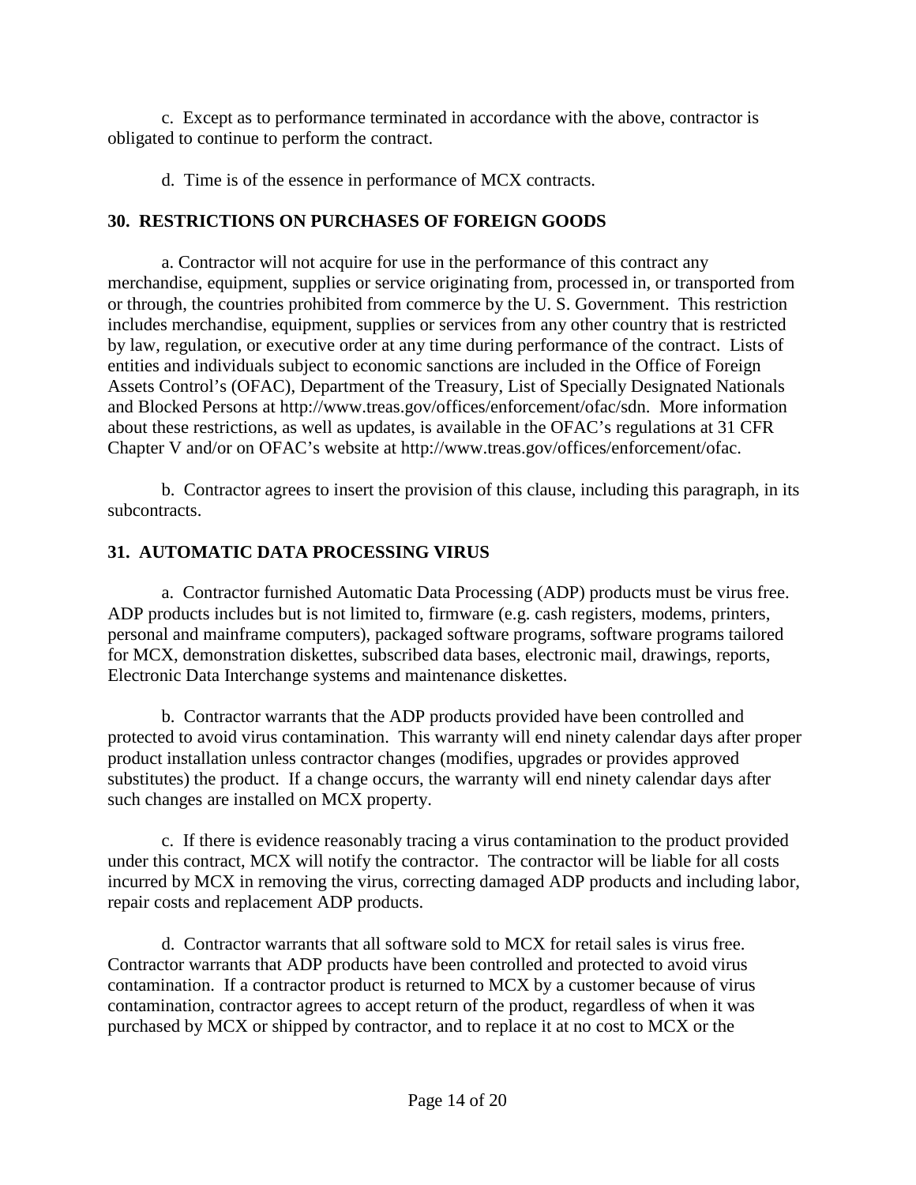c. Except as to performance terminated in accordance with the above, contractor is obligated to continue to perform the contract.

d. Time is of the essence in performance of MCX contracts.

## <span id="page-13-0"></span>**30. RESTRICTIONS ON PURCHASES OF FOREIGN GOODS**

a. Contractor will not acquire for use in the performance of this contract any merchandise, equipment, supplies or service originating from, processed in, or transported from or through, the countries prohibited from commerce by the U. S. Government. This restriction includes merchandise, equipment, supplies or services from any other country that is restricted by law, regulation, or executive order at any time during performance of the contract. Lists of entities and individuals subject to economic sanctions are included in the Office of Foreign Assets Control's (OFAC), Department of the Treasury, List of Specially Designated Nationals and Blocked Persons at [http://www.treas.gov/offices/enforcement/ofac/sdn.](http://www.treas.gov/offices/enforcement/ofac/sdn) More information about these restrictions, as well as updates, is available in the OFAC's regulations at 31 CFR Chapter V and/or on OFAC's website at [http://www.treas.gov/offices/enforcement/ofac.](http://www.treas.gov/offices/enforcement/ofac)

b. Contractor agrees to insert the provision of this clause, including this paragraph, in its subcontracts.

# <span id="page-13-1"></span>**31. AUTOMATIC DATA PROCESSING VIRUS**

a. Contractor furnished Automatic Data Processing (ADP) products must be virus free. ADP products includes but is not limited to, firmware (e.g. cash registers, modems, printers, personal and mainframe computers), packaged software programs, software programs tailored for MCX, demonstration diskettes, subscribed data bases, electronic mail, drawings, reports, Electronic Data Interchange systems and maintenance diskettes.

b. Contractor warrants that the ADP products provided have been controlled and protected to avoid virus contamination. This warranty will end ninety calendar days after proper product installation unless contractor changes (modifies, upgrades or provides approved substitutes) the product. If a change occurs, the warranty will end ninety calendar days after such changes are installed on MCX property.

c. If there is evidence reasonably tracing a virus contamination to the product provided under this contract, MCX will notify the contractor. The contractor will be liable for all costs incurred by MCX in removing the virus, correcting damaged ADP products and including labor, repair costs and replacement ADP products.

d. Contractor warrants that all software sold to MCX for retail sales is virus free. Contractor warrants that ADP products have been controlled and protected to avoid virus contamination. If a contractor product is returned to MCX by a customer because of virus contamination, contractor agrees to accept return of the product, regardless of when it was purchased by MCX or shipped by contractor, and to replace it at no cost to MCX or the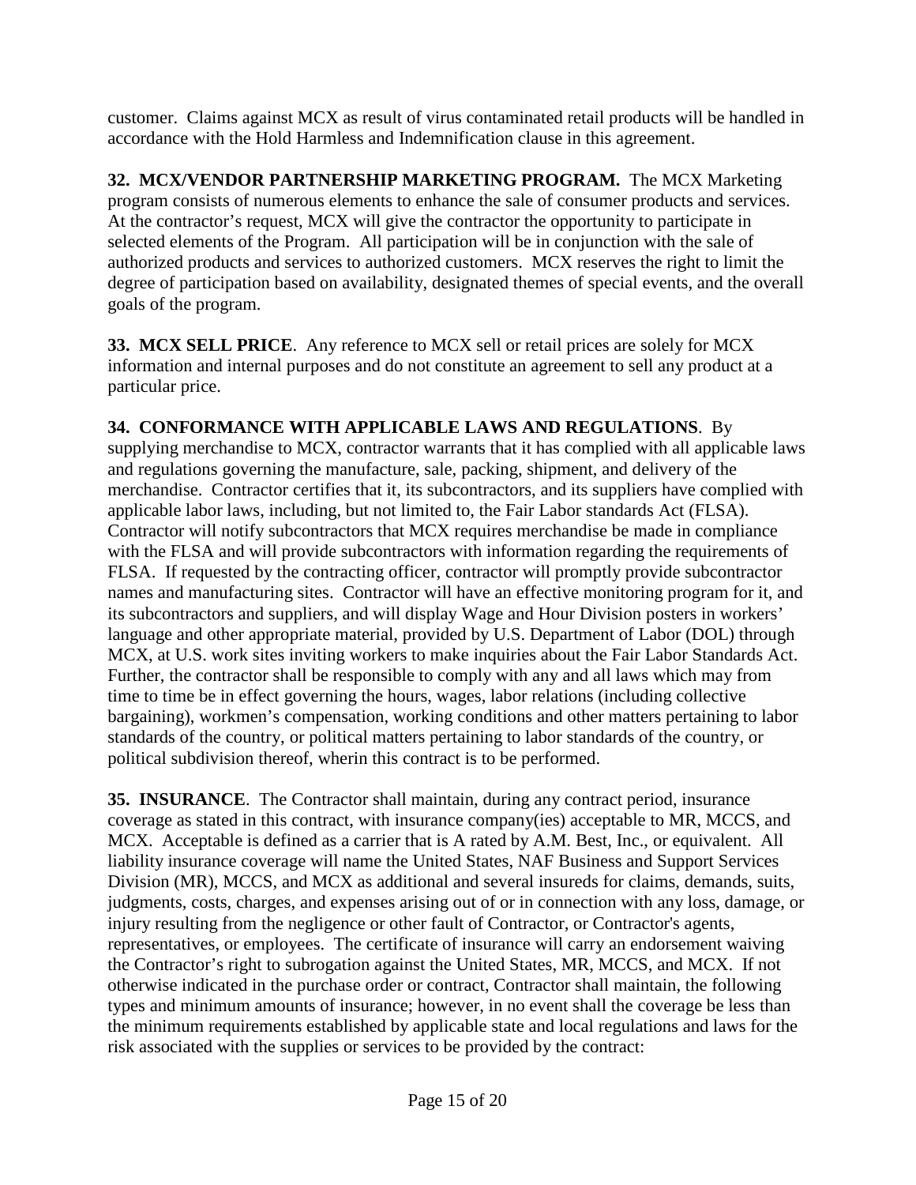customer. Claims against MCX as result of virus contaminated retail products will be handled in accordance with the Hold Harmless and Indemnification clause in this agreement.

<span id="page-14-0"></span>**32. MCX/VENDOR PARTNERSHIP MARKETING PROGRAM.** The MCX Marketing program consists of numerous elements to enhance the sale of consumer products and services. At the contractor's request, MCX will give the contractor the opportunity to participate in selected elements of the Program. All participation will be in conjunction with the sale of authorized products and services to authorized customers. MCX reserves the right to limit the degree of participation based on availability, designated themes of special events, and the overall goals of the program.

<span id="page-14-1"></span>**33. MCX SELL PRICE**. Any reference to MCX sell or retail prices are solely for MCX information and internal purposes and do not constitute an agreement to sell any product at a particular price.

# <span id="page-14-2"></span>**34. CONFORMANCE WITH APPLICABLE LAWS AND REGULATIONS**. By

supplying merchandise to MCX, contractor warrants that it has complied with all applicable laws and regulations governing the manufacture, sale, packing, shipment, and delivery of the merchandise. Contractor certifies that it, its subcontractors, and its suppliers have complied with applicable labor laws, including, but not limited to, the Fair Labor standards Act (FLSA). Contractor will notify subcontractors that MCX requires merchandise be made in compliance with the FLSA and will provide subcontractors with information regarding the requirements of FLSA. If requested by the contracting officer, contractor will promptly provide subcontractor names and manufacturing sites. Contractor will have an effective monitoring program for it, and its subcontractors and suppliers, and will display Wage and Hour Division posters in workers' language and other appropriate material, provided by U.S. Department of Labor (DOL) through MCX, at U.S. work sites inviting workers to make inquiries about the Fair Labor Standards Act. Further, the contractor shall be responsible to comply with any and all laws which may from time to time be in effect governing the hours, wages, labor relations (including collective bargaining), workmen's compensation, working conditions and other matters pertaining to labor standards of the country, or political matters pertaining to labor standards of the country, or political subdivision thereof, wherin this contract is to be performed.

<span id="page-14-3"></span>**35. INSURANCE**. The Contractor shall maintain, during any contract period, insurance coverage as stated in this contract, with insurance company(ies) acceptable to MR, MCCS, and MCX. Acceptable is defined as a carrier that is A rated by A.M. Best, Inc., or equivalent. All liability insurance coverage will name the United States, NAF Business and Support Services Division (MR), MCCS, and MCX as additional and several insureds for claims, demands, suits, judgments, costs, charges, and expenses arising out of or in connection with any loss, damage, or injury resulting from the negligence or other fault of Contractor, or Contractor's agents, representatives, or employees. The certificate of insurance will carry an endorsement waiving the Contractor's right to subrogation against the United States, MR, MCCS, and MCX. If not otherwise indicated in the purchase order or contract, Contractor shall maintain, the following types and minimum amounts of insurance; however, in no event shall the coverage be less than the minimum requirements established by applicable state and local regulations and laws for the risk associated with the supplies or services to be provided by the contract: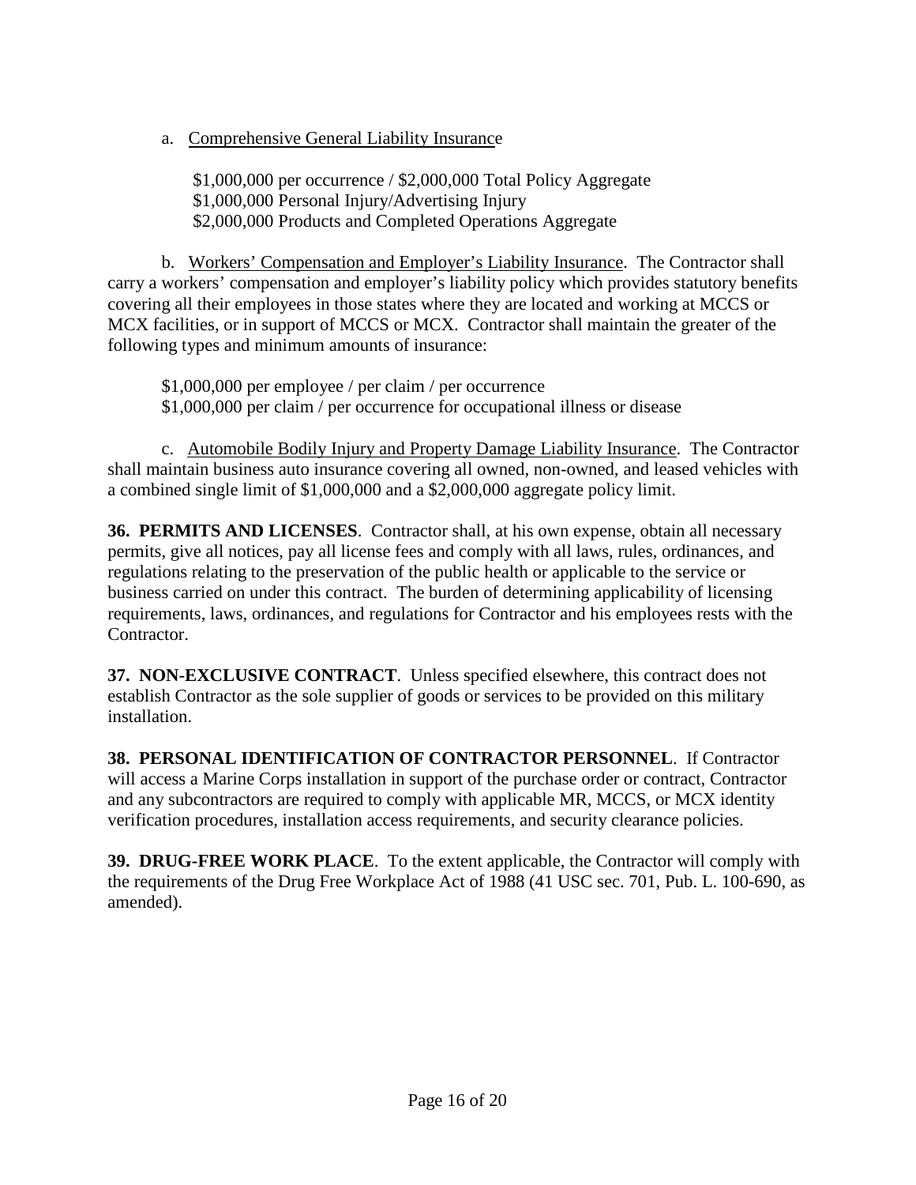a. Comprehensive General Liability Insurance

\$1,000,000 per occurrence / \$2,000,000 Total Policy Aggregate \$1,000,000 Personal Injury/Advertising Injury \$2,000,000 Products and Completed Operations Aggregate

b. Workers' Compensation and Employer's Liability Insurance. The Contractor shall carry a workers' compensation and employer's liability policy which provides statutory benefits covering all their employees in those states where they are located and working at MCCS or MCX facilities, or in support of MCCS or MCX. Contractor shall maintain the greater of the following types and minimum amounts of insurance:

\$1,000,000 per employee / per claim / per occurrence \$1,000,000 per claim / per occurrence for occupational illness or disease

c. Automobile Bodily Injury and Property Damage Liability Insurance. The Contractor shall maintain business auto insurance covering all owned, non-owned, and leased vehicles with a combined single limit of \$1,000,000 and a \$2,000,000 aggregate policy limit.

<span id="page-15-0"></span>**36. PERMITS AND LICENSES**. Contractor shall, at his own expense, obtain all necessary permits, give all notices, pay all license fees and comply with all laws, rules, ordinances, and regulations relating to the preservation of the public health or applicable to the service or business carried on under this contract. The burden of determining applicability of licensing requirements, laws, ordinances, and regulations for Contractor and his employees rests with the Contractor.

<span id="page-15-1"></span>**37. NON-EXCLUSIVE CONTRACT**. Unless specified elsewhere, this contract does not establish Contractor as the sole supplier of goods or services to be provided on this military installation.

<span id="page-15-2"></span>**38. PERSONAL IDENTIFICATION OF CONTRACTOR PERSONNEL**. If Contractor will access a Marine Corps installation in support of the purchase order or contract, Contractor and any subcontractors are required to comply with applicable MR, MCCS, or MCX identity verification procedures, installation access requirements, and security clearance policies.

<span id="page-15-3"></span>**39. DRUG-FREE WORK PLACE**. To the extent applicable, the Contractor will comply with the requirements of the Drug Free Workplace Act of 1988 (41 USC sec. 701, Pub. L. 100-690, as amended).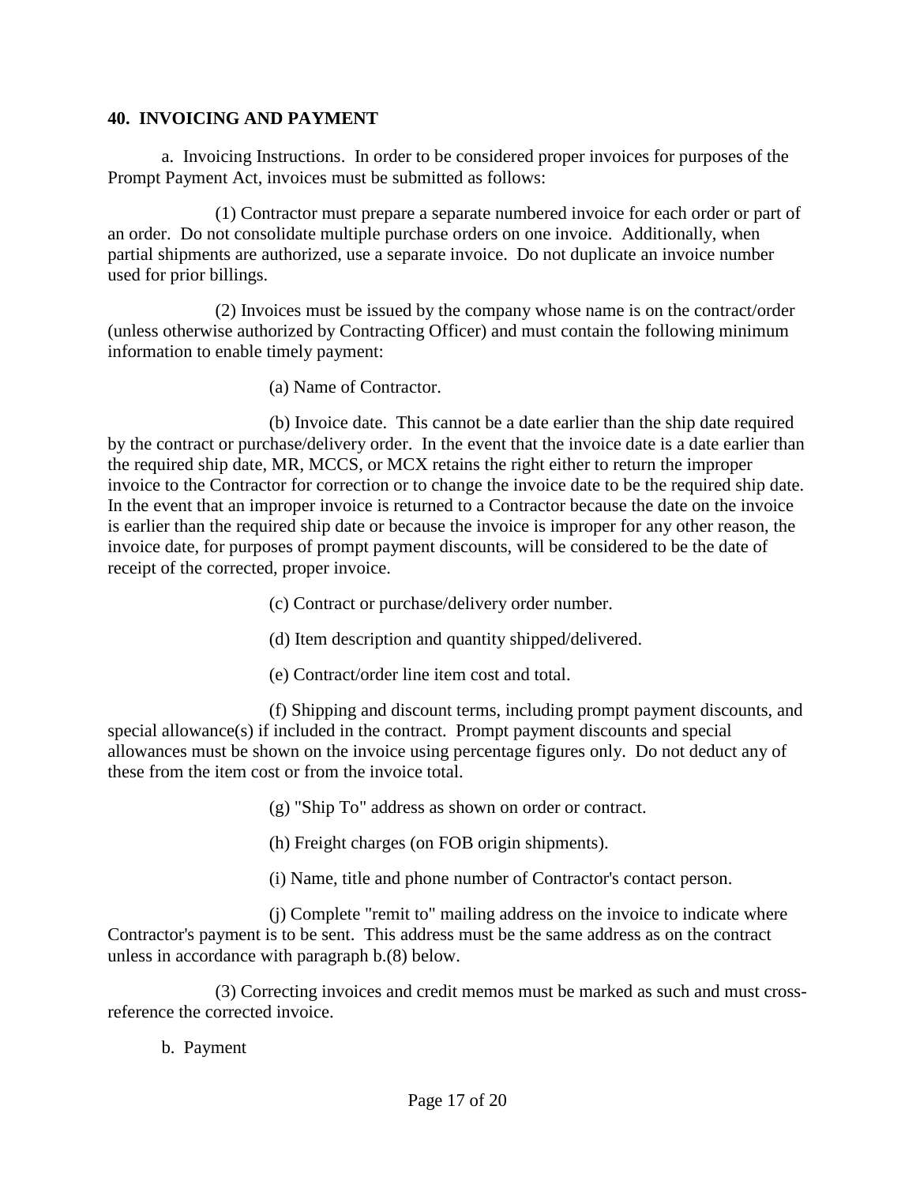#### <span id="page-16-0"></span>**40. INVOICING AND PAYMENT**

a. Invoicing Instructions. In order to be considered proper invoices for purposes of the Prompt Payment Act, invoices must be submitted as follows:

(1) Contractor must prepare a separate numbered invoice for each order or part of an order. Do not consolidate multiple purchase orders on one invoice. Additionally, when partial shipments are authorized, use a separate invoice. Do not duplicate an invoice number used for prior billings.

(2) Invoices must be issued by the company whose name is on the contract/order (unless otherwise authorized by Contracting Officer) and must contain the following minimum information to enable timely payment:

(a) Name of Contractor.

(b) Invoice date. This cannot be a date earlier than the ship date required by the contract or purchase/delivery order. In the event that the invoice date is a date earlier than the required ship date, MR, MCCS, or MCX retains the right either to return the improper invoice to the Contractor for correction or to change the invoice date to be the required ship date. In the event that an improper invoice is returned to a Contractor because the date on the invoice is earlier than the required ship date or because the invoice is improper for any other reason, the invoice date, for purposes of prompt payment discounts, will be considered to be the date of receipt of the corrected, proper invoice.

(c) Contract or purchase/delivery order number.

(d) Item description and quantity shipped/delivered.

(e) Contract/order line item cost and total.

(f) Shipping and discount terms, including prompt payment discounts, and special allowance(s) if included in the contract. Prompt payment discounts and special allowances must be shown on the invoice using percentage figures only. Do not deduct any of these from the item cost or from the invoice total.

(g) "Ship To" address as shown on order or contract.

(h) Freight charges (on FOB origin shipments).

(i) Name, title and phone number of Contractor's contact person.

(j) Complete "remit to" mailing address on the invoice to indicate where Contractor's payment is to be sent. This address must be the same address as on the contract unless in accordance with paragraph b.(8) below.

(3) Correcting invoices and credit memos must be marked as such and must crossreference the corrected invoice.

b. Payment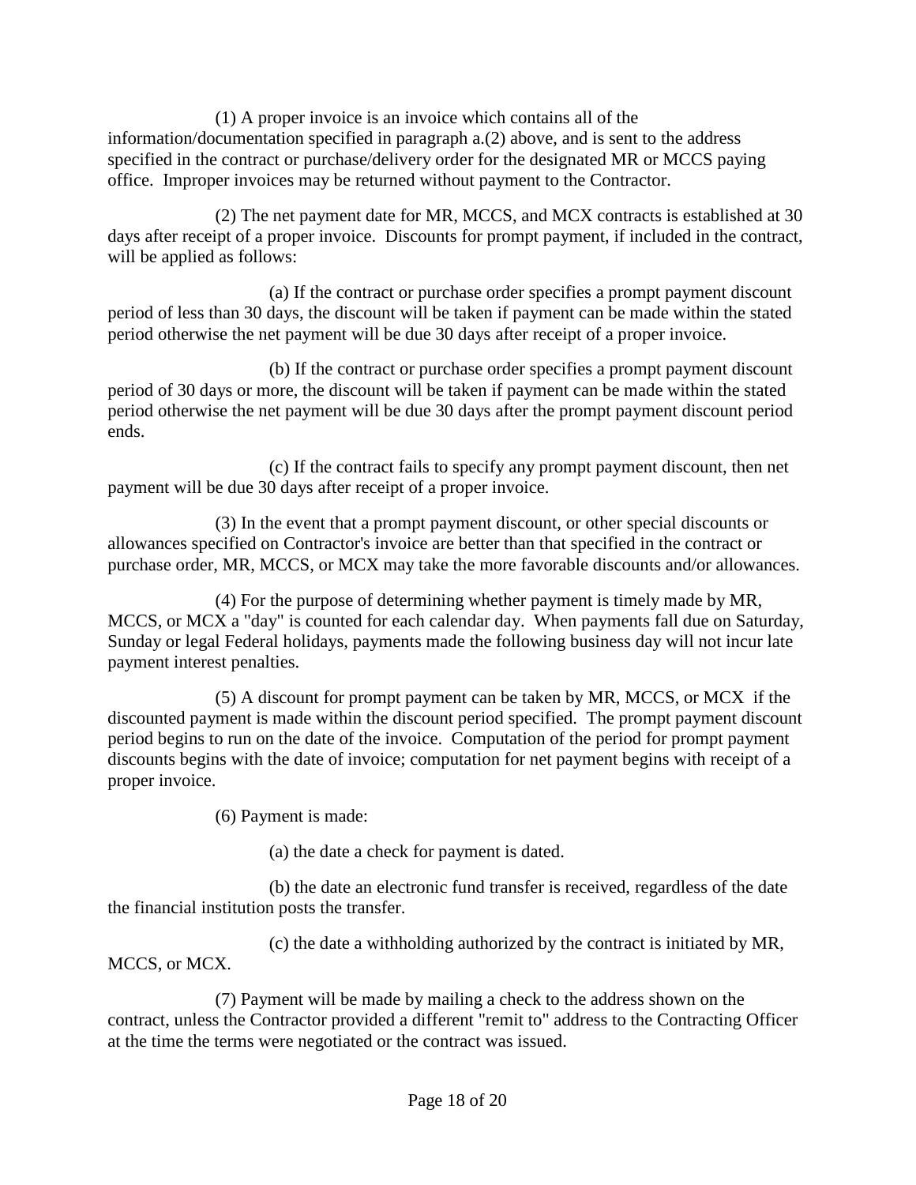(1) A proper invoice is an invoice which contains all of the information/documentation specified in paragraph a.(2) above, and is sent to the address specified in the contract or purchase/delivery order for the designated MR or MCCS paying office. Improper invoices may be returned without payment to the Contractor.

(2) The net payment date for MR, MCCS, and MCX contracts is established at 30 days after receipt of a proper invoice. Discounts for prompt payment, if included in the contract, will be applied as follows:

(a) If the contract or purchase order specifies a prompt payment discount period of less than 30 days, the discount will be taken if payment can be made within the stated period otherwise the net payment will be due 30 days after receipt of a proper invoice.

(b) If the contract or purchase order specifies a prompt payment discount period of 30 days or more, the discount will be taken if payment can be made within the stated period otherwise the net payment will be due 30 days after the prompt payment discount period ends.

(c) If the contract fails to specify any prompt payment discount, then net payment will be due 30 days after receipt of a proper invoice.

(3) In the event that a prompt payment discount, or other special discounts or allowances specified on Contractor's invoice are better than that specified in the contract or purchase order, MR, MCCS, or MCX may take the more favorable discounts and/or allowances.

(4) For the purpose of determining whether payment is timely made by MR, MCCS, or MCX a "day" is counted for each calendar day. When payments fall due on Saturday, Sunday or legal Federal holidays, payments made the following business day will not incur late payment interest penalties.

(5) A discount for prompt payment can be taken by MR, MCCS, or MCX if the discounted payment is made within the discount period specified. The prompt payment discount period begins to run on the date of the invoice. Computation of the period for prompt payment discounts begins with the date of invoice; computation for net payment begins with receipt of a proper invoice.

(6) Payment is made:

(a) the date a check for payment is dated.

(b) the date an electronic fund transfer is received, regardless of the date the financial institution posts the transfer.

(c) the date a withholding authorized by the contract is initiated by MR, MCCS, or MCX.

(7) Payment will be made by mailing a check to the address shown on the contract, unless the Contractor provided a different "remit to" address to the Contracting Officer at the time the terms were negotiated or the contract was issued.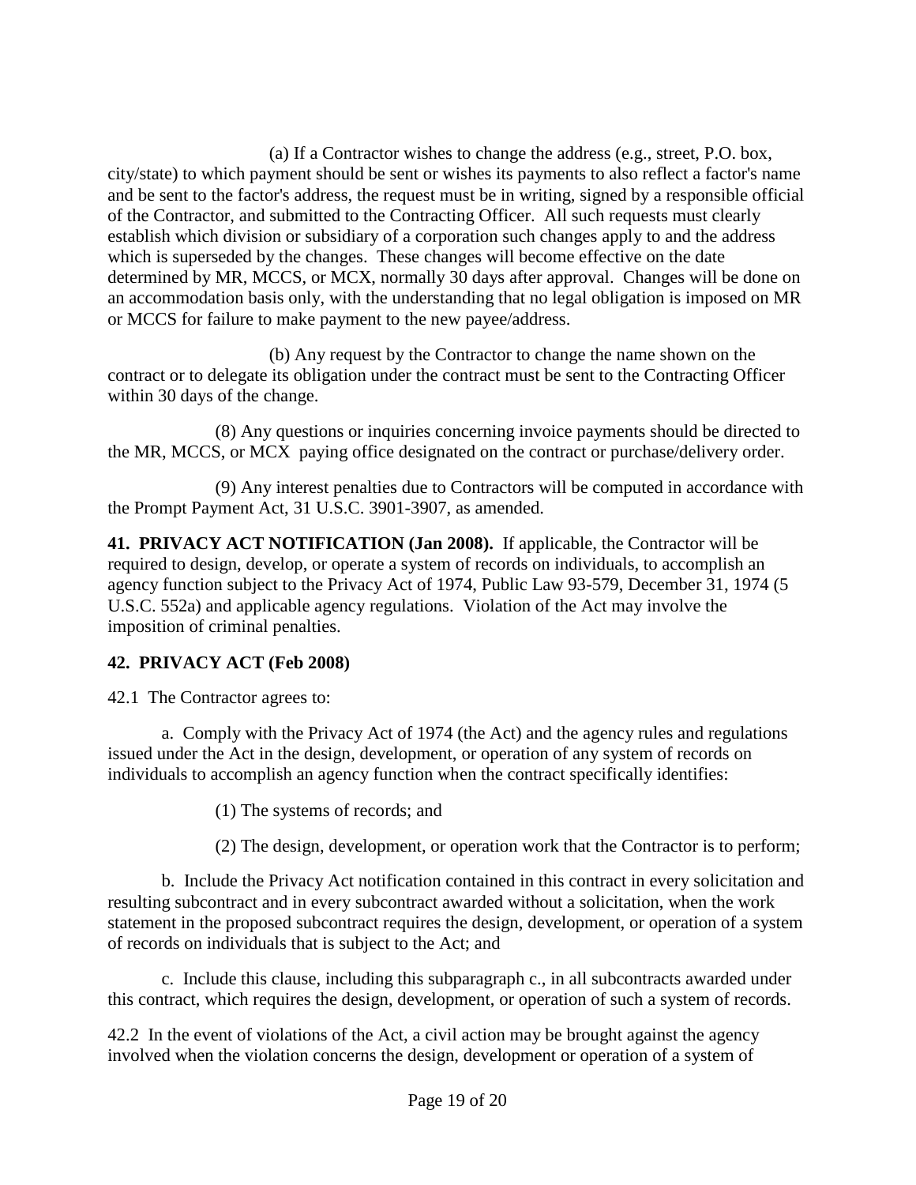(a) If a Contractor wishes to change the address (e.g., street, P.O. box, city/state) to which payment should be sent or wishes its payments to also reflect a factor's name and be sent to the factor's address, the request must be in writing, signed by a responsible official of the Contractor, and submitted to the Contracting Officer. All such requests must clearly establish which division or subsidiary of a corporation such changes apply to and the address which is superseded by the changes. These changes will become effective on the date determined by MR, MCCS, or MCX, normally 30 days after approval. Changes will be done on an accommodation basis only, with the understanding that no legal obligation is imposed on MR or MCCS for failure to make payment to the new payee/address.

(b) Any request by the Contractor to change the name shown on the contract or to delegate its obligation under the contract must be sent to the Contracting Officer within 30 days of the change.

(8) Any questions or inquiries concerning invoice payments should be directed to the MR, MCCS, or MCX paying office designated on the contract or purchase/delivery order.

(9) Any interest penalties due to Contractors will be computed in accordance with the Prompt Payment Act, 31 U.S.C. 3901-3907, as amended.

<span id="page-18-0"></span>**41. PRIVACY ACT NOTIFICATION (Jan 2008).** If applicable, the Contractor will be required to design, develop, or operate a system of records on individuals, to accomplish an agency function subject to the Privacy Act of 1974, Public Law 93-579, December 31, 1974 (5 U.S.C. 552a) and applicable agency regulations. Violation of the Act may involve the imposition of criminal penalties.

### <span id="page-18-1"></span>**42. PRIVACY ACT (Feb 2008)**

42.1 The Contractor agrees to:

a. Comply with the Privacy Act of 1974 (the Act) and the agency rules and regulations issued under the Act in the design, development, or operation of any system of records on individuals to accomplish an agency function when the contract specifically identifies:

(1) The systems of records; and

(2) The design, development, or operation work that the Contractor is to perform;

b. Include the Privacy Act notification contained in this contract in every solicitation and resulting subcontract and in every subcontract awarded without a solicitation, when the work statement in the proposed subcontract requires the design, development, or operation of a system of records on individuals that is subject to the Act; and

c. Include this clause, including this subparagraph c., in all subcontracts awarded under this contract, which requires the design, development, or operation of such a system of records.

42.2 In the event of violations of the Act, a civil action may be brought against the agency involved when the violation concerns the design, development or operation of a system of